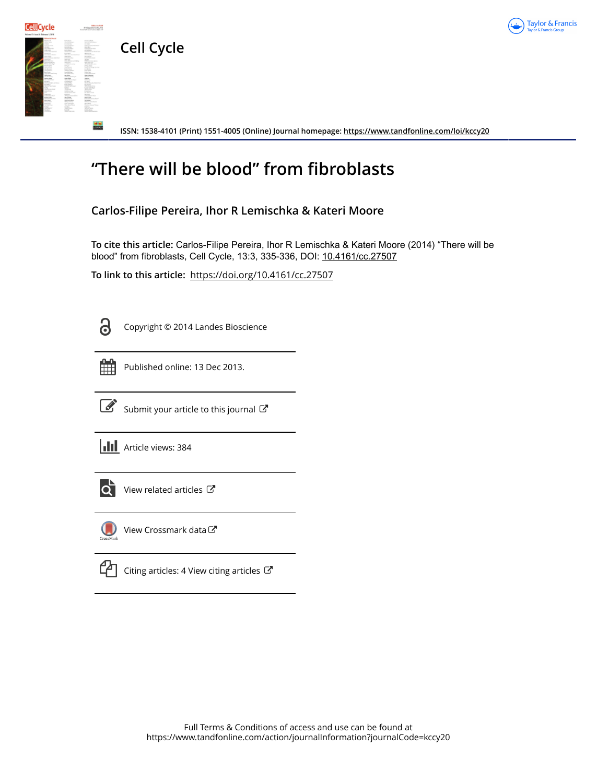

**Cell Cycle**

**Cell**Cycle

**ISSN: 1538-4101 (Print) 1551-4005 (Online) Journal homepage:<https://www.tandfonline.com/loi/kccy20>**

## **"There will be blood" from fibroblasts**

## **Carlos-Filipe Pereira, Ihor R Lemischka & Kateri Moore**

**To cite this article:** Carlos-Filipe Pereira, Ihor R Lemischka & Kateri Moore (2014) "There will be blood" from fibroblasts, Cell Cycle, 13:3, 335-336, DOI: [10.4161/cc.27507](https://www.tandfonline.com/action/showCitFormats?doi=10.4161/cc.27507)

**To link to this article:** <https://doi.org/10.4161/cc.27507>

Copyright © 2014 Landes Bioscience



Published online: 13 Dec 2013.



 $\overrightarrow{S}$  [Submit your article to this journal](https://www.tandfonline.com/action/authorSubmission?journalCode=kccy20&show=instructions)  $\overrightarrow{S}$ 

**III** Article views: 384



 $\overrightarrow{Q}$  [View related articles](https://www.tandfonline.com/doi/mlt/10.4161/cc.27507)  $\overrightarrow{C}$ 



[View Crossmark data](http://crossmark.crossref.org/dialog/?doi=10.4161/cc.27507&domain=pdf&date_stamp=2013-12-13)<sup>C</sup>



 $\mathbb{C}$  [Citing articles: 4 View citing articles](https://www.tandfonline.com/doi/citedby/10.4161/cc.27507#tabModule)  $\mathbb{C}$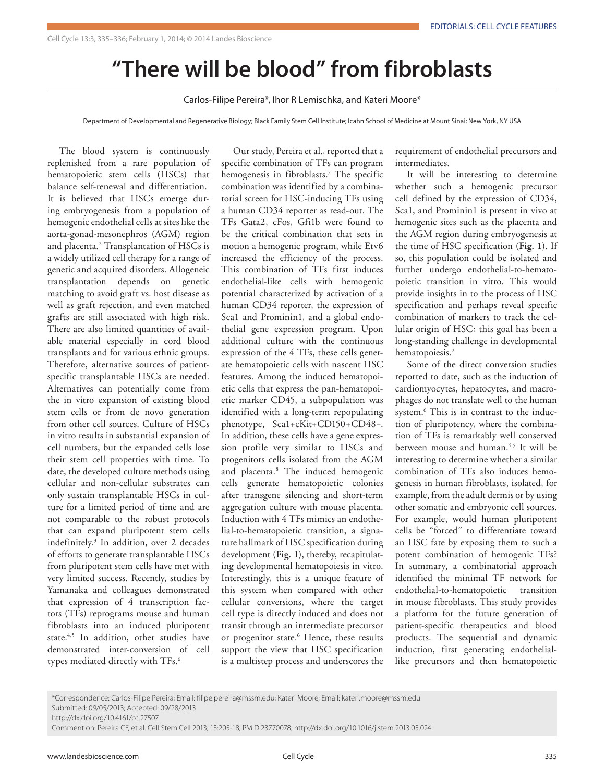## **"There will be blood" from fibroblasts**

Carlos-Filipe Pereira\*, Ihor R Lemischka, and Kateri Moore\*

Department of Developmental and Regenerative Biology; Black Family Stem Cell Institute; Icahn School of Medicine at Mount Sinai; New York, NY USA

The blood system is continuously replenished from a rare population of hematopoietic stem cells (HSCs) that balance self-renewal and differentiation.<sup>1</sup> It is believed that HSCs emerge during embryogenesis from a population of hemogenic endothelial cells at sites like the aorta-gonad-mesonephros (AGM) region and placenta.<sup>2</sup> Transplantation of HSCs is a widely utilized cell therapy for a range of genetic and acquired disorders. Allogeneic transplantation depends on genetic matching to avoid graft vs. host disease as well as graft rejection, and even matched grafts are still associated with high risk. There are also limited quantities of available material especially in cord blood transplants and for various ethnic groups. Therefore, alternative sources of patientspecific transplantable HSCs are needed. Alternatives can potentially come from the in vitro expansion of existing blood stem cells or from de novo generation from other cell sources. Culture of HSCs in vitro results in substantial expansion of cell numbers, but the expanded cells lose their stem cell properties with time. To date, the developed culture methods using cellular and non-cellular substrates can only sustain transplantable HSCs in culture for a limited period of time and are not comparable to the robust protocols that can expand pluripotent stem cells indefinitely.3 In addition, over 2 decades of efforts to generate transplantable HSCs from pluripotent stem cells have met with very limited success. Recently, studies by Yamanaka and colleagues demonstrated that expression of 4 transcription factors (TFs) reprograms mouse and human fibroblasts into an induced pluripotent state.<sup>4,5</sup> In addition, other studies have demonstrated inter-conversion of cell types mediated directly with TFs.6

Our study, Pereira et al., reported that a specific combination of TFs can program hemogenesis in fibroblasts.7 The specific combination was identified by a combinatorial screen for HSC-inducing TFs using a human CD34 reporter as read-out. The TFs Gata2, cFos, Gfi1b were found to be the critical combination that sets in motion a hemogenic program, while Etv6 increased the efficiency of the process. This combination of TFs first induces endothelial-like cells with hemogenic potential characterized by activation of a human CD34 reporter, the expression of Sca1 and Prominin1, and a global endothelial gene expression program. Upon additional culture with the continuous expression of the 4 TFs, these cells generate hematopoietic cells with nascent HSC features. Among the induced hematopoietic cells that express the pan-hematopoietic marker CD45, a subpopulation was identified with a long-term repopulating phenotype, Sca1+cKit+CD150+CD48−. In addition, these cells have a gene expression profile very similar to HSCs and progenitors cells isolated from the AGM and placenta.8 The induced hemogenic cells generate hematopoietic colonies after transgene silencing and short-term aggregation culture with mouse placenta. Induction with 4 TFs mimics an endothelial-to-hematopoietic transition, a signature hallmark of HSC specification during development (**Fig. 1**), thereby, recapitulating developmental hematopoiesis in vitro. Interestingly, this is a unique feature of this system when compared with other cellular conversions, where the target cell type is directly induced and does not transit through an intermediate precursor or progenitor state.<sup>6</sup> Hence, these results support the view that HSC specification is a multistep process and underscores the

requirement of endothelial precursors and intermediates.

It will be interesting to determine whether such a hemogenic precursor cell defined by the expression of CD34, Sca1, and Prominin1 is present in vivo at hemogenic sites such as the placenta and the AGM region during embryogenesis at the time of HSC specification (**Fig. 1**). If so, this population could be isolated and further undergo endothelial-to-hematopoietic transition in vitro. This would provide insights in to the process of HSC specification and perhaps reveal specific combination of markers to track the cellular origin of HSC; this goal has been a long-standing challenge in developmental hematopoiesis.<sup>2</sup>

Some of the direct conversion studies reported to date, such as the induction of cardiomyocytes, hepatocytes, and macrophages do not translate well to the human system.6 This is in contrast to the induction of pluripotency, where the combination of TFs is remarkably well conserved between mouse and human.<sup>4,5</sup> It will be interesting to determine whether a similar combination of TFs also induces hemogenesis in human fibroblasts, isolated, for example, from the adult dermis or by using other somatic and embryonic cell sources. For example, would human pluripotent cells be "forced" to differentiate toward an HSC fate by exposing them to such a potent combination of hemogenic TFs? In summary, a combinatorial approach identified the minimal TF network for endothelial-to-hematopoietic transition in mouse fibroblasts. This study provides a platform for the future generation of patient-specific therapeutics and blood products. The sequential and dynamic induction, first generating endotheliallike precursors and then hematopoietic

Submitted: 09/05/2013; Accepted: 09/28/2013 http://dx.doi.org/10.4161/cc.27507

Comment on: Pereira CF, et al. Cell Stem Cell 2013; 13:205-18; PMID:23770078; http://dx.doi.org/10.1016/j.stem.2013.05.024

<sup>\*</sup>Correspondence: Carlos-Filipe Pereira; Email: filipe.pereira@mssm.edu; Kateri Moore; Email: kateri.moore@mssm.edu